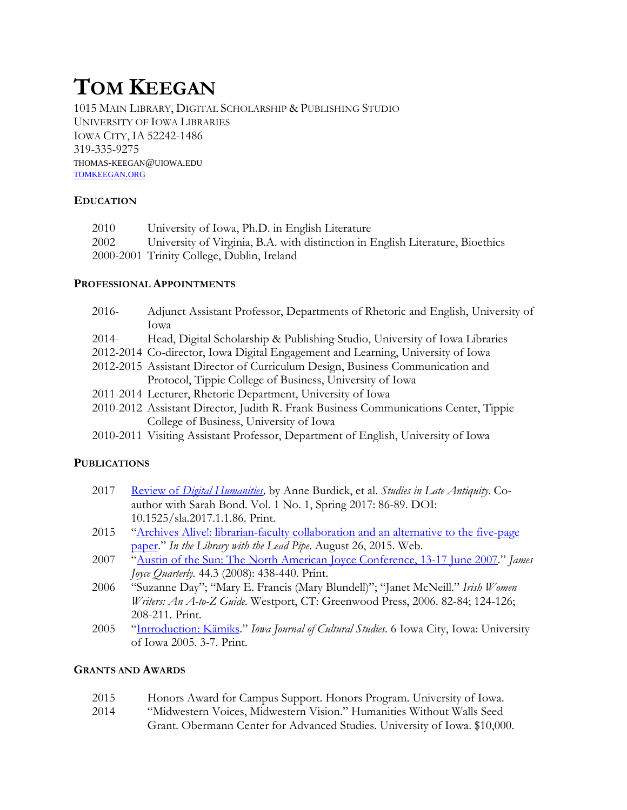# **TOM KEEGAN**

1015 MAIN LIBRARY, DIGITAL SCHOLARSHIP & PUBLISHING STUDIO UNIVERSITY OF IOWA LIBRARIES IOWA CITY, IA 52242-1486 319-335-9275 THOMAS-KEEGAN@UIOWA.EDU [TOMKEEGAN.ORG](http://tomkeegan.org/)

### **EDUCATION**

| 2010 | University of Iowa, Ph.D. in English Literature                                |
|------|--------------------------------------------------------------------------------|
| 2002 | University of Virginia, B.A. with distinction in English Literature, Bioethics |
|      | 2000-2001 Trinity College, Dublin, Ireland                                     |

### **PROFESSIONAL APPOINTMENTS**

| $2016-$ | Adjunct Assistant Professor, Departments of Rhetoric and English, University of |
|---------|---------------------------------------------------------------------------------|
|         | lowa                                                                            |
| $2014-$ | Head, Digital Scholarship & Publishing Studio, University of Iowa Libraries     |

- 2012-2014 Co-director, Iowa Digital Engagement and Learning, University of Iowa 2012-2015 Assistant Director of Curriculum Design, Business Communication and Protocol, Tippie College of Business, University of Iowa
- 2011-2014 Lecturer, Rhetoric Department, University of Iowa
- 2010-2012 Assistant Director, Judith R. Frank Business Communications Center, Tippie College of Business, University of Iowa
- 2010-2011 Visiting Assistant Professor, Department of English, University of Iowa

# **PUBLICATIONS**

- 2017 Review of *[Digital Humanities,](http://sla.ucpress.edu/content/1/1/86.full.pdf+html)* by Anne Burdick, et al. *Studies in Late Antiquity*. Coauthor with Sarah Bond. Vol. 1 No. 1, Spring 2017: 86-89. DOI: 10.1525/sla.2017.1.1.86. Print.
- 2015 ["Archives Alive!: librarian-faculty collaboration and an alternative to the five-page](http://www.inthelibrarywiththeleadpipe.org/2015/archives-alive-librarian-faculty-collaboration-and-an-alternative-to-the-five-page-paper/)  [paper.](http://www.inthelibrarywiththeleadpipe.org/2015/archives-alive-librarian-faculty-collaboration-and-an-alternative-to-the-five-page-paper/)" *In the Library with the Lead Pipe*. August 26, 2015. Web.
- 2007 ["Austin of the Sun: The North American Joyce Conference, 13-17 June 2007.](https://muse.jhu.edu/journals/james_joyce_quarterly/v044/44.3keegan.pdf)" *James Joyce Quarterly.* 44.3 (2008): 438-440. Print.
- 2006 "Suzanne Day"; "Mary E. Francis (Mary Blundell)"; "Janet McNeill." *Irish Women Writers: An A-to-Z Guide*. Westport, CT: Greenwood Press, 2006. 82-84; 124-126; 208-211. Print.
- 2005 ["Introduction: Kämiks.](http://ir.uiowa.edu/ijcs/vol6/iss1/2/)" *Iowa Journal of Cultural Studies.* 6 Iowa City, Iowa: University of Iowa 2005. 3-7. Print.

# **GRANTS AND AWARDS**

- 2015 Honors Award for Campus Support. Honors Program. University of Iowa.
- 2014 "Midwestern Voices, Midwestern Vision." Humanities Without Walls Seed Grant. Obermann Center for Advanced Studies. University of Iowa. \$10,000.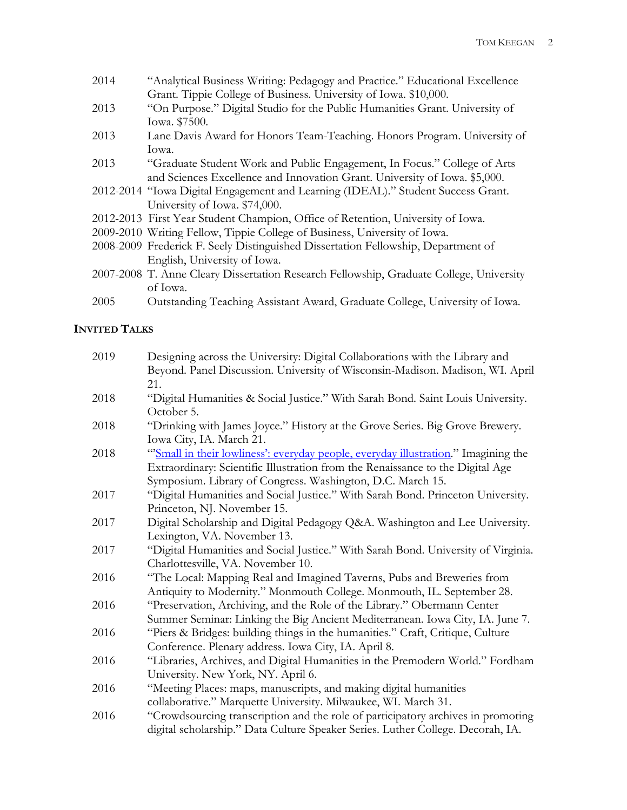- 2014 "Analytical Business Writing: Pedagogy and Practice." Educational Excellence Grant. Tippie College of Business. University of Iowa. \$10,000.
- 2013 "On Purpose." Digital Studio for the Public Humanities Grant. University of Iowa. \$7500.
- 2013 Lane Davis Award for Honors Team-Teaching. Honors Program. University of Iowa.
- 2013 "Graduate Student Work and Public Engagement, In Focus." College of Arts and Sciences Excellence and Innovation Grant. University of Iowa. \$5,000.
- 2012-2014 "Iowa Digital Engagement and Learning (IDEAL)." Student Success Grant. University of Iowa. \$74,000.
- 2012-2013 First Year Student Champion, Office of Retention, University of Iowa.
- 2009-2010 Writing Fellow, Tippie College of Business, University of Iowa.
- 2008-2009 Frederick F. Seely Distinguished Dissertation Fellowship, Department of English, University of Iowa.
- 2007-2008 T. Anne Cleary Dissertation Research Fellowship, Graduate College, University of Iowa.
- 2005 Outstanding Teaching Assistant Award, Graduate College, University of Iowa.

# **INVITED TALKS**

| 2019 | Designing across the University: Digital Collaborations with the Library and       |
|------|------------------------------------------------------------------------------------|
|      | Beyond. Panel Discussion. University of Wisconsin-Madison. Madison, WI. April      |
|      | 21.                                                                                |
| 2018 | "Digital Humanities & Social Justice." With Sarah Bond. Saint Louis University.    |
|      | October 5.                                                                         |
| 2018 | "Drinking with James Joyce." History at the Grove Series. Big Grove Brewery.       |
|      | Iowa City, IA. March 21.                                                           |
| 2018 | "Small in their lowliness': everyday people, everyday illustration." Imagining the |
|      | Extraordinary: Scientific Illustration from the Renaissance to the Digital Age     |
|      | Symposium. Library of Congress. Washington, D.C. March 15.                         |
| 2017 | "Digital Humanities and Social Justice." With Sarah Bond. Princeton University.    |
|      | Princeton, NJ. November 15.                                                        |
| 2017 | Digital Scholarship and Digital Pedagogy Q&A. Washington and Lee University.       |
|      | Lexington, VA. November 13.                                                        |
| 2017 | "Digital Humanities and Social Justice." With Sarah Bond. University of Virginia.  |
|      | Charlottesville, VA. November 10.                                                  |
| 2016 | "The Local: Mapping Real and Imagined Taverns, Pubs and Breweries from             |
|      | Antiquity to Modernity." Monmouth College. Monmouth, IL. September 28.             |
| 2016 | "Preservation, Archiving, and the Role of the Library." Obermann Center            |
|      | Summer Seminar: Linking the Big Ancient Mediterranean. Iowa City, IA. June 7.      |
| 2016 | "Piers & Bridges: building things in the humanities." Craft, Critique, Culture     |
|      | Conference. Plenary address. Iowa City, IA. April 8.                               |
| 2016 | "Libraries, Archives, and Digital Humanities in the Premodern World." Fordham      |
|      | University. New York, NY. April 6.                                                 |
| 2016 | "Meeting Places: maps, manuscripts, and making digital humanities                  |
|      | collaborative." Marquette University. Milwaukee, WI. March 31.                     |
| 2016 | "Crowdsourcing transcription and the role of participatory archives in promoting   |
|      | digital scholarship." Data Culture Speaker Series. Luther College. Decorah, IA.    |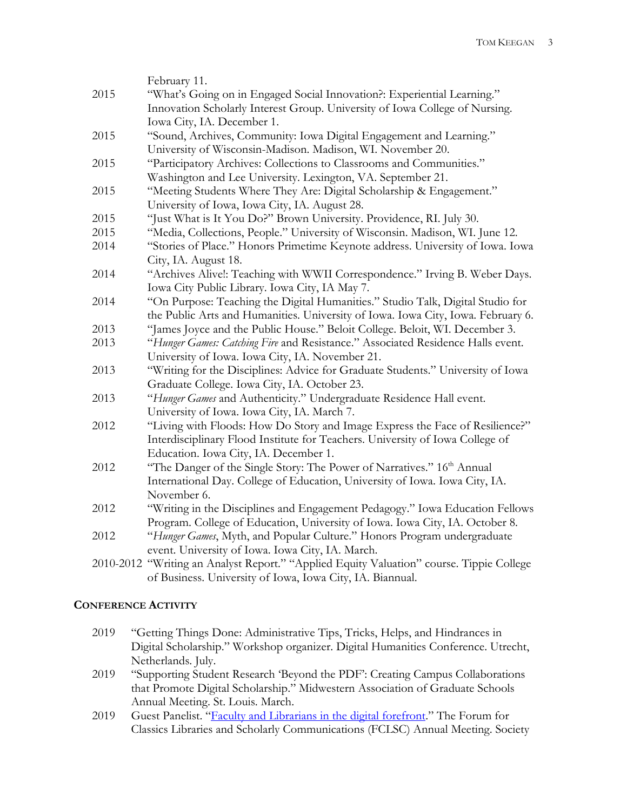|      | February 11.                                                                             |
|------|------------------------------------------------------------------------------------------|
| 2015 | "What's Going on in Engaged Social Innovation?: Experiential Learning."                  |
|      | Innovation Scholarly Interest Group. University of Iowa College of Nursing.              |
|      | Iowa City, IA. December 1.                                                               |
| 2015 | "Sound, Archives, Community: Iowa Digital Engagement and Learning."                      |
|      | University of Wisconsin-Madison. Madison, WI. November 20.                               |
| 2015 | "Participatory Archives: Collections to Classrooms and Communities."                     |
|      | Washington and Lee University. Lexington, VA. September 21.                              |
| 2015 | "Meeting Students Where They Are: Digital Scholarship & Engagement."                     |
|      | University of Iowa, Iowa City, IA. August 28.                                            |
| 2015 | "Just What is It You Do?" Brown University. Providence, RI. July 30.                     |
| 2015 | "Media, Collections, People." University of Wisconsin. Madison, WI. June 12.             |
| 2014 | "Stories of Place." Honors Primetime Keynote address. University of Iowa. Iowa           |
|      | City, IA. August 18.                                                                     |
| 2014 | "Archives Alive!: Teaching with WWII Correspondence." Irving B. Weber Days.              |
|      | Iowa City Public Library. Iowa City, IA May 7.                                           |
| 2014 | "On Purpose: Teaching the Digital Humanities." Studio Talk, Digital Studio for           |
|      | the Public Arts and Humanities. University of Iowa. Iowa City, Iowa. February 6.         |
| 2013 | "James Joyce and the Public House." Beloit College. Beloit, WI. December 3.              |
| 2013 | "Hunger Games: Catching Fire and Resistance." Associated Residence Halls event.          |
|      | University of Iowa. Iowa City, IA. November 21.                                          |
| 2013 | "Writing for the Disciplines: Advice for Graduate Students." University of Iowa          |
|      | Graduate College. Iowa City, IA. October 23.                                             |
| 2013 | "Hunger Games and Authenticity." Undergraduate Residence Hall event.                     |
|      | University of Iowa. Iowa City, IA. March 7.                                              |
| 2012 | "Living with Floods: How Do Story and Image Express the Face of Resilience?"             |
|      | Interdisciplinary Flood Institute for Teachers. University of Iowa College of            |
|      | Education. Iowa City, IA. December 1.                                                    |
| 2012 | "The Danger of the Single Story: The Power of Narratives." 16th Annual                   |
|      | International Day. College of Education, University of Iowa. Iowa City, IA.              |
|      | November 6.                                                                              |
| 2012 | "Writing in the Disciplines and Engagement Pedagogy." Iowa Education Fellows             |
|      | Program. College of Education, University of Iowa. Iowa City, IA. October 8.             |
| 2012 | "Hunger Games, Myth, and Popular Culture." Honors Program undergraduate                  |
|      | event. University of Iowa. Iowa City, IA. March.                                         |
|      | 2010-2012 "Writing an Analyst Report." "Applied Equity Valuation" course. Tippie College |
|      | of Business. University of Iowa, Iowa City, IA. Biannual.                                |

# **CONFERENCE ACTIVITY**

- 2019 "Getting Things Done: Administrative Tips, Tricks, Helps, and Hindrances in Digital Scholarship." Workshop organizer. Digital Humanities Conference. Utrecht, Netherlands. July.
- 2019 "Supporting Student Research 'Beyond the PDF': Creating Campus Collaborations that Promote Digital Scholarship." Midwestern Association of Graduate Schools Annual Meeting. St. Louis. March.
- 2019 Guest Panelist. ["Faculty and Librarians in the digital forefront.](https://docs.google.com/document/d/1sWdl7qGiSVCnG63ot2o7kyH7vfC7cyHasmD4ijO19IM/edit)" The Forum for Classics Libraries and Scholarly Communications (FCLSC) Annual Meeting. Society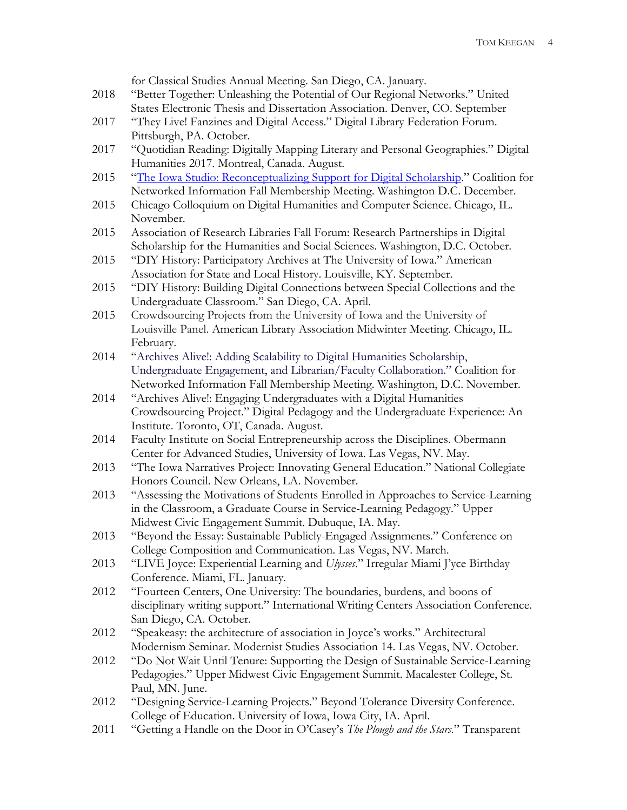|      | for Classical Studies Annual Meeting. San Diego, CA. January.                                                                                   |
|------|-------------------------------------------------------------------------------------------------------------------------------------------------|
| 2018 | "Better Together: Unleashing the Potential of Our Regional Networks." United                                                                    |
|      | States Electronic Thesis and Dissertation Association. Denver, CO. September                                                                    |
| 2017 | "They Live! Fanzines and Digital Access." Digital Library Federation Forum.                                                                     |
|      | Pittsburgh, PA. October.                                                                                                                        |
| 2017 | "Quotidian Reading: Digitally Mapping Literary and Personal Geographies." Digital                                                               |
|      | Humanities 2017. Montreal, Canada. August.                                                                                                      |
| 2015 | "The Iowa Studio: Reconceptualizing Support for Digital Scholarship." Coalition for                                                             |
|      | Networked Information Fall Membership Meeting. Washington D.C. December.                                                                        |
| 2015 | Chicago Colloquium on Digital Humanities and Computer Science. Chicago, IL.                                                                     |
|      | November.                                                                                                                                       |
| 2015 | Association of Research Libraries Fall Forum: Research Partnerships in Digital                                                                  |
|      | Scholarship for the Humanities and Social Sciences. Washington, D.C. October.                                                                   |
| 2015 | "DIY History: Participatory Archives at The University of Iowa." American                                                                       |
|      | Association for State and Local History. Louisville, KY. September.                                                                             |
| 2015 | "DIY History: Building Digital Connections between Special Collections and the                                                                  |
|      | Undergraduate Classroom." San Diego, CA. April.                                                                                                 |
| 2015 | Crowdsourcing Projects from the University of Iowa and the University of                                                                        |
|      | Louisville Panel. American Library Association Midwinter Meeting. Chicago, IL.                                                                  |
|      | February.                                                                                                                                       |
| 2014 | "Archives Alivel: Adding Scalability to Digital Humanities Scholarship,                                                                         |
|      | Undergraduate Engagement, and Librarian/Faculty Collaboration." Coalition for                                                                   |
|      | Networked Information Fall Membership Meeting. Washington, D.C. November.                                                                       |
| 2014 | "Archives Alive!: Engaging Undergraduates with a Digital Humanities                                                                             |
|      | Crowdsourcing Project." Digital Pedagogy and the Undergraduate Experience: An                                                                   |
|      | Institute. Toronto, OT, Canada. August.                                                                                                         |
| 2014 | Faculty Institute on Social Entrepreneurship across the Disciplines. Obermann                                                                   |
|      | Center for Advanced Studies, University of Iowa. Las Vegas, NV. May.                                                                            |
| 2013 | "The Iowa Narratives Project: Innovating General Education." National Collegiate                                                                |
|      | Honors Council. New Orleans, LA. November.                                                                                                      |
| 2013 | "Assessing the Motivations of Students Enrolled in Approaches to Service-Learning                                                               |
|      |                                                                                                                                                 |
|      | in the Classroom, a Graduate Course in Service-Learning Pedagogy." Upper<br>Midwest Civic Engagement Summit. Dubuque, IA. May.                  |
| 2013 | "Beyond the Essay: Sustainable Publicly-Engaged Assignments." Conference on                                                                     |
|      |                                                                                                                                                 |
| 2013 | College Composition and Communication. Las Vegas, NV. March.<br>"LIVE Joyce: Experiential Learning and Ulysses." Irregular Miami J'yce Birthday |
|      | Conference. Miami, FL. January.                                                                                                                 |
| 2012 | "Fourteen Centers, One University: The boundaries, burdens, and boons of                                                                        |
|      | disciplinary writing support." International Writing Centers Association Conference.                                                            |
|      | San Diego, CA. October.                                                                                                                         |
| 2012 | "Speakeasy: the architecture of association in Joyce's works." Architectural                                                                    |
|      |                                                                                                                                                 |
|      | Modernism Seminar. Modernist Studies Association 14. Las Vegas, NV. October.                                                                    |
| 2012 | "Do Not Wait Until Tenure: Supporting the Design of Sustainable Service-Learning                                                                |
|      | Pedagogies." Upper Midwest Civic Engagement Summit. Macalester College, St.                                                                     |
|      | Paul, MN. June.                                                                                                                                 |
| 2012 | "Designing Service-Learning Projects." Beyond Tolerance Diversity Conference.                                                                   |
| 2011 | College of Education. University of Iowa, Iowa City, IA. April.                                                                                 |
|      | "Getting a Handle on the Door in O'Casey's The Plough and the Stars." Transparent                                                               |
|      |                                                                                                                                                 |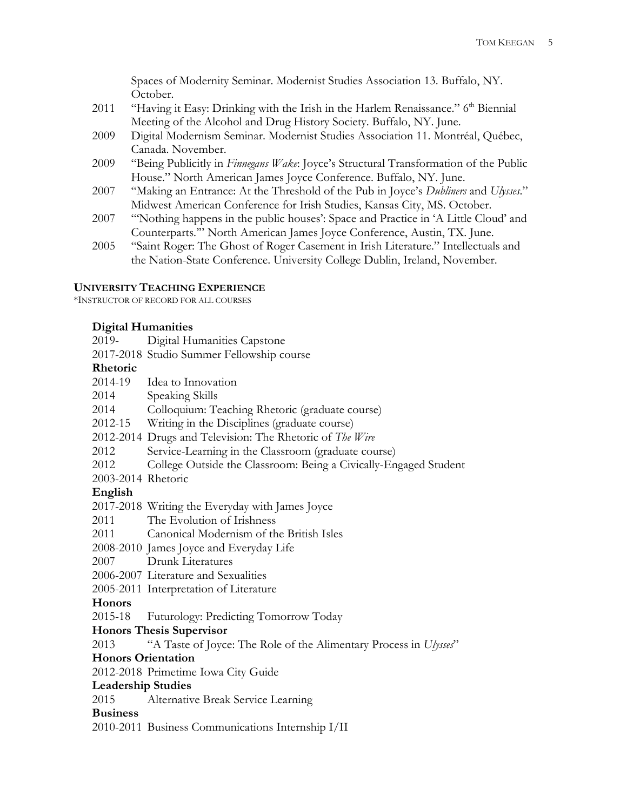Spaces of Modernity Seminar. Modernist Studies Association 13. Buffalo, NY. October.

- 2011 "Having it Easy: Drinking with the Irish in the Harlem Renaissance." 6<sup>th</sup> Biennial Meeting of the Alcohol and Drug History Society. Buffalo, NY. June.
- 2009 Digital Modernism Seminar. Modernist Studies Association 11. Montréal, Québec, Canada. November.
- 2009 "Being Publicitly in *Finnegans Wake*: Joyce's Structural Transformation of the Public House." North American James Joyce Conference. Buffalo, NY. June.
- 2007 "Making an Entrance: At the Threshold of the Pub in Joyce's *Dubliners* and *Ulysses*." Midwest American Conference for Irish Studies, Kansas City, MS. October.
- 2007 "'Nothing happens in the public houses': Space and Practice in 'A Little Cloud' and Counterparts.'" North American James Joyce Conference, Austin, TX. June.
- 2005 "Saint Roger: The Ghost of Roger Casement in Irish Literature." Intellectuals and the Nation-State Conference. University College Dublin, Ireland, November.

#### **UNIVERSITY TEACHING EXPERIENCE**

\*INSTRUCTOR OF RECORD FOR ALL COURSES

### **Digital Humanities**

| 2019- | Digital Humanities Capstone |  |
|-------|-----------------------------|--|
|       |                             |  |

2017-2018 Studio Summer Fellowship course

#### **Rhetoric**

| 2014-19                   | Idea to Innovation                                                     |
|---------------------------|------------------------------------------------------------------------|
| 2014                      | Speaking Skills                                                        |
| 2014                      | Colloquium: Teaching Rhetoric (graduate course)                        |
| 2012-15                   | Writing in the Disciplines (graduate course)                           |
|                           | 2012-2014 Drugs and Television: The Rhetoric of The Wire               |
| 2012                      | Service-Learning in the Classroom (graduate course)                    |
| 2012                      | College Outside the Classroom: Being a Civically-Engaged Student       |
| 2003-2014 Rhetoric        |                                                                        |
| English                   |                                                                        |
|                           | 2017-2018 Writing the Everyday with James Joyce                        |
| 2011                      | The Evolution of Irishness                                             |
| 2011                      | Canonical Modernism of the British Isles                               |
|                           | 2008-2010 James Joyce and Everyday Life                                |
|                           | 2007 Drunk Literatures                                                 |
|                           | 2006-2007 Literature and Sexualities                                   |
|                           | 2005-2011 Interpretation of Literature                                 |
| Honors                    |                                                                        |
|                           | 2015-18 Futurology: Predicting Tomorrow Today                          |
|                           | <b>Honors Thesis Supervisor</b>                                        |
|                           | 2013 "A Taste of Joyce: The Role of the Alimentary Process in Ulysses" |
|                           | <b>Honors Orientation</b>                                              |
|                           | 2012-2018 Primetime Iowa City Guide                                    |
| <b>Leadership Studies</b> |                                                                        |
| 2015                      | Alternative Break Service Learning                                     |
| <b>Business</b>           |                                                                        |
|                           | 2010-2011 Business Communications Internship I/II                      |
|                           |                                                                        |